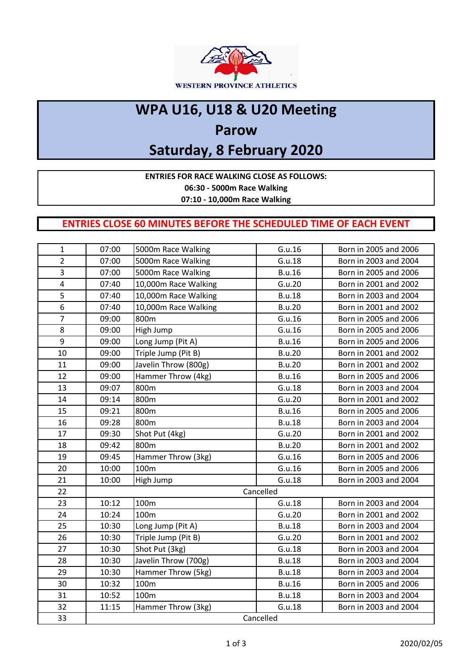

## **WPA U16, U18 & U20 Meeting**

### **Parow**

# **Saturday, 8 February 2020**

**ENTRIES FOR RACE WALKING CLOSE AS FOLLOWS:**

**06:30 - 5000m Race Walking**

**07:10 - 10,000m Race Walking** 

### **ENTRIES CLOSE 60 MINUTES BEFORE THE SCHEDULED TIME OF EACH EVENT**

| $\mathbf{1}$   | 07:00     | 5000m Race Walking   | G.u.16        | Born in 2005 and 2006 |
|----------------|-----------|----------------------|---------------|-----------------------|
| $\overline{2}$ | 07:00     | 5000m Race Walking   | G.u.18        | Born in 2003 and 2004 |
|                |           |                      |               |                       |
| 3              | 07:00     | 5000m Race Walking   | <b>B.u.16</b> | Born in 2005 and 2006 |
| 4              | 07:40     | 10,000m Race Walking | G.u.20        | Born in 2001 and 2002 |
| 5              | 07:40     | 10,000m Race Walking | <b>B.u.18</b> | Born in 2003 and 2004 |
| 6              | 07:40     | 10,000m Race Walking | <b>B.u.20</b> | Born in 2001 and 2002 |
| $\overline{7}$ | 09:00     | 800m                 | G.u.16        | Born in 2005 and 2006 |
| 8              | 09:00     | High Jump            | G.u.16        | Born in 2005 and 2006 |
| 9              | 09:00     | Long Jump (Pit A)    | <b>B.u.16</b> | Born in 2005 and 2006 |
| 10             | 09:00     | Triple Jump (Pit B)  | <b>B.u.20</b> | Born in 2001 and 2002 |
| 11             | 09:00     | Javelin Throw (800g) | <b>B.u.20</b> | Born in 2001 and 2002 |
| 12             | 09:00     | Hammer Throw (4kg)   | <b>B.u.16</b> | Born in 2005 and 2006 |
| 13             | 09:07     | 800m                 | G.u.18        | Born in 2003 and 2004 |
| 14             | 09:14     | 800m                 | G.u.20        | Born in 2001 and 2002 |
| 15             | 09:21     | 800m                 | <b>B.u.16</b> | Born in 2005 and 2006 |
| 16             | 09:28     | 800m                 | <b>B.u.18</b> | Born in 2003 and 2004 |
| 17             | 09:30     | Shot Put (4kg)       | G.u.20        | Born in 2001 and 2002 |
| 18             | 09:42     | 800m                 | <b>B.u.20</b> | Born in 2001 and 2002 |
| 19             | 09:45     | Hammer Throw (3kg)   | G.u.16        | Born in 2005 and 2006 |
| 20             | 10:00     | 100m                 | G.u.16        | Born in 2005 and 2006 |
| 21             | 10:00     | High Jump            | G.u.18        | Born in 2003 and 2004 |
| 22             | Cancelled |                      |               |                       |
| 23             | 10:12     | 100m                 | G.u.18        | Born in 2003 and 2004 |
| 24             | 10:24     | 100m                 | G.u.20        | Born in 2001 and 2002 |
| 25             | 10:30     | Long Jump (Pit A)    | <b>B.u.18</b> | Born in 2003 and 2004 |
| 26             | 10:30     | Triple Jump (Pit B)  | G.u.20        | Born in 2001 and 2002 |
| 27             | 10:30     | Shot Put (3kg)       | G.u.18        | Born in 2003 and 2004 |
| 28             | 10:30     | Javelin Throw (700g) | <b>B.u.18</b> | Born in 2003 and 2004 |
| 29             | 10:30     | Hammer Throw (5kg)   | <b>B.u.18</b> | Born in 2003 and 2004 |
| 30             | 10:32     | 100m                 | <b>B.u.16</b> | Born in 2005 and 2006 |
| 31             | 10:52     | 100m                 | <b>B.u.18</b> | Born in 2003 and 2004 |
| 32             | 11:15     | Hammer Throw (3kg)   | G.u.18        | Born in 2003 and 2004 |
| 33             | Cancelled |                      |               |                       |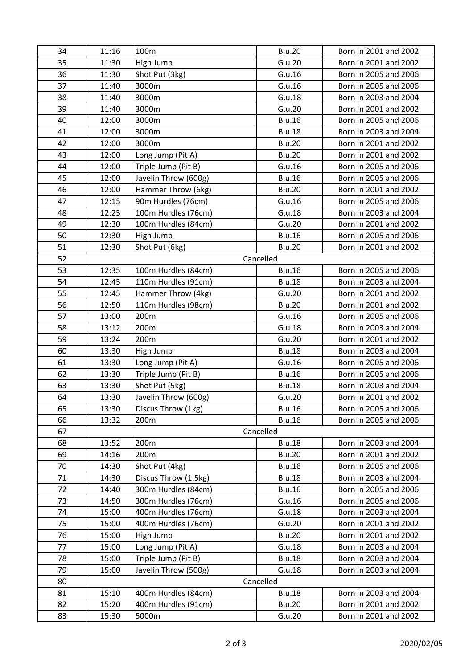| 34 | 11:16     | 100m                 | <b>B.u.20</b> | Born in 2001 and 2002 |
|----|-----------|----------------------|---------------|-----------------------|
| 35 | 11:30     | High Jump            | G.u.20        | Born in 2001 and 2002 |
| 36 | 11:30     | Shot Put (3kg)       | G.u.16        | Born in 2005 and 2006 |
| 37 | 11:40     | 3000m                | G.u.16        | Born in 2005 and 2006 |
| 38 | 11:40     | 3000m                | G.u.18        | Born in 2003 and 2004 |
| 39 | 11:40     | 3000m                | G.u.20        | Born in 2001 and 2002 |
| 40 | 12:00     | 3000m                | <b>B.u.16</b> | Born in 2005 and 2006 |
| 41 | 12:00     | 3000m                | <b>B.u.18</b> | Born in 2003 and 2004 |
| 42 | 12:00     | 3000m                | <b>B.u.20</b> | Born in 2001 and 2002 |
| 43 | 12:00     | Long Jump (Pit A)    | <b>B.u.20</b> | Born in 2001 and 2002 |
| 44 | 12:00     | Triple Jump (Pit B)  | G.u.16        | Born in 2005 and 2006 |
| 45 | 12:00     | Javelin Throw (600g) | <b>B.u.16</b> | Born in 2005 and 2006 |
| 46 | 12:00     | Hammer Throw (6kg)   | <b>B.u.20</b> | Born in 2001 and 2002 |
| 47 | 12:15     | 90m Hurdles (76cm)   | G.u.16        | Born in 2005 and 2006 |
| 48 | 12:25     | 100m Hurdles (76cm)  | G.u.18        | Born in 2003 and 2004 |
| 49 | 12:30     | 100m Hurdles (84cm)  | G.u.20        | Born in 2001 and 2002 |
| 50 | 12:30     | High Jump            | <b>B.u.16</b> | Born in 2005 and 2006 |
| 51 | 12:30     | Shot Put (6kg)       | <b>B.u.20</b> | Born in 2001 and 2002 |
| 52 |           |                      | Cancelled     |                       |
| 53 | 12:35     | 100m Hurdles (84cm)  | <b>B.u.16</b> | Born in 2005 and 2006 |
| 54 | 12:45     | 110m Hurdles (91cm)  | <b>B.u.18</b> | Born in 2003 and 2004 |
| 55 | 12:45     | Hammer Throw (4kg)   | G.u.20        | Born in 2001 and 2002 |
| 56 | 12:50     | 110m Hurdles (98cm)  | <b>B.u.20</b> | Born in 2001 and 2002 |
| 57 | 13:00     | 200m                 | G.u.16        | Born in 2005 and 2006 |
| 58 | 13:12     | 200m                 | G.u.18        | Born in 2003 and 2004 |
| 59 | 13:24     | 200m                 | G.u.20        | Born in 2001 and 2002 |
| 60 | 13:30     | High Jump            | <b>B.u.18</b> | Born in 2003 and 2004 |
| 61 | 13:30     | Long Jump (Pit A)    | G.u.16        | Born in 2005 and 2006 |
| 62 | 13:30     | Triple Jump (Pit B)  | <b>B.u.16</b> | Born in 2005 and 2006 |
| 63 | 13:30     | Shot Put (5kg)       | <b>B.u.18</b> | Born in 2003 and 2004 |
| 64 | 13:30     | Javelin Throw (600g) | G.u.20        | Born in 2001 and 2002 |
| 65 | 13:30     | Discus Throw (1kg)   | <b>B.u.16</b> | Born in 2005 and 2006 |
| 66 | 13:32     | 200m                 | <b>B.u.16</b> | Born in 2005 and 2006 |
| 67 | Cancelled |                      |               |                       |
| 68 | 13:52     | 200m                 | <b>B.u.18</b> | Born in 2003 and 2004 |
| 69 | 14:16     | 200m                 | <b>B.u.20</b> | Born in 2001 and 2002 |
| 70 | 14:30     | Shot Put (4kg)       | <b>B.u.16</b> | Born in 2005 and 2006 |
| 71 | 14:30     | Discus Throw (1.5kg) | <b>B.u.18</b> | Born in 2003 and 2004 |
| 72 | 14:40     | 300m Hurdles (84cm)  | <b>B.u.16</b> | Born in 2005 and 2006 |
| 73 | 14:50     | 300m Hurdles (76cm)  | G.u.16        | Born in 2005 and 2006 |
| 74 | 15:00     | 400m Hurdles (76cm)  | G.u.18        | Born in 2003 and 2004 |
| 75 | 15:00     | 400m Hurdles (76cm)  | G.u.20        | Born in 2001 and 2002 |
| 76 | 15:00     | High Jump            | <b>B.u.20</b> | Born in 2001 and 2002 |
| 77 | 15:00     | Long Jump (Pit A)    | G.u.18        | Born in 2003 and 2004 |
| 78 | 15:00     | Triple Jump (Pit B)  | <b>B.u.18</b> | Born in 2003 and 2004 |
| 79 | 15:00     | Javelin Throw (500g) | G.u.18        | Born in 2003 and 2004 |
| 80 | Cancelled |                      |               |                       |
| 81 | 15:10     | 400m Hurdles (84cm)  | <b>B.u.18</b> | Born in 2003 and 2004 |
| 82 | 15:20     | 400m Hurdles (91cm)  | <b>B.u.20</b> | Born in 2001 and 2002 |
| 83 | 15:30     | 5000m                | G.u.20        | Born in 2001 and 2002 |